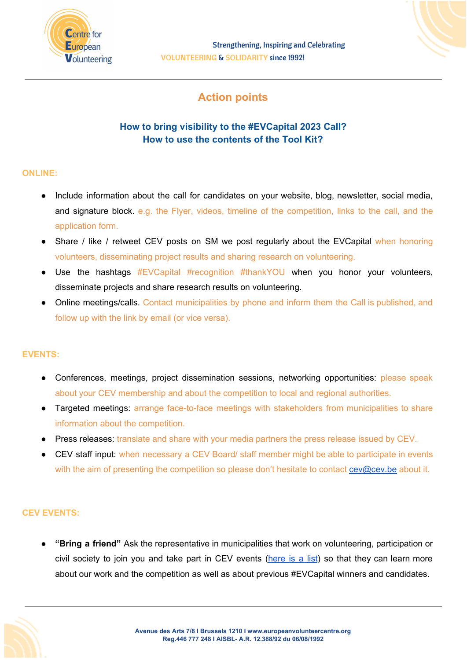

# **Action points**

# **How to bring visibility to the #EVCapital 2023 Call? How to use the contents of the Tool Kit?**

## **ONLINE:**

- Include information about the call for candidates on your website, blog, newsletter, social media, and signature block. e.g. the Flyer, videos, timeline of the competition, links to the call, and the application form.
- Share / like / retweet CEV posts on SM we post requiarly about the EVCapital when honoring volunteers, disseminating project results and sharing research on volunteering.
- Use the hashtags #EVCapital #recognition #thankYOU when you honor your volunteers, disseminate projects and share research results on volunteering.
- Online meetings/calls. Contact municipalities by phone and inform them the Call is published, and follow up with the link by email (or vice versa).

### **EVENTS:**

- Conferences, meetings, project dissemination sessions, networking opportunities: please speak about your CEV membership and about the competition to local and regional authorities.
- Targeted meetings: arrange face-to-face meetings with stakeholders from municipalities to share information about the competition.
- Press releases: translate and share with your media partners the press release issued by CEV.
- CEV staff input: when necessary a CEV Board/ staff member might be able to participate in events with the aim of presenting the competition so please don't hesitate to contact [cev@cev.be](mailto:cev@cev.be) about it.

### **CEV EVENTS:**

● **"Bring a friend"** Ask the representative in municipalities that work on volunteering, participation or civil society to join you and take part in CEV events [\(here](https://www.europeanvolunteercentre.org/events) is a list) so that they can learn more about our work and the competition as well as about previous #EVCapital winners and candidates.